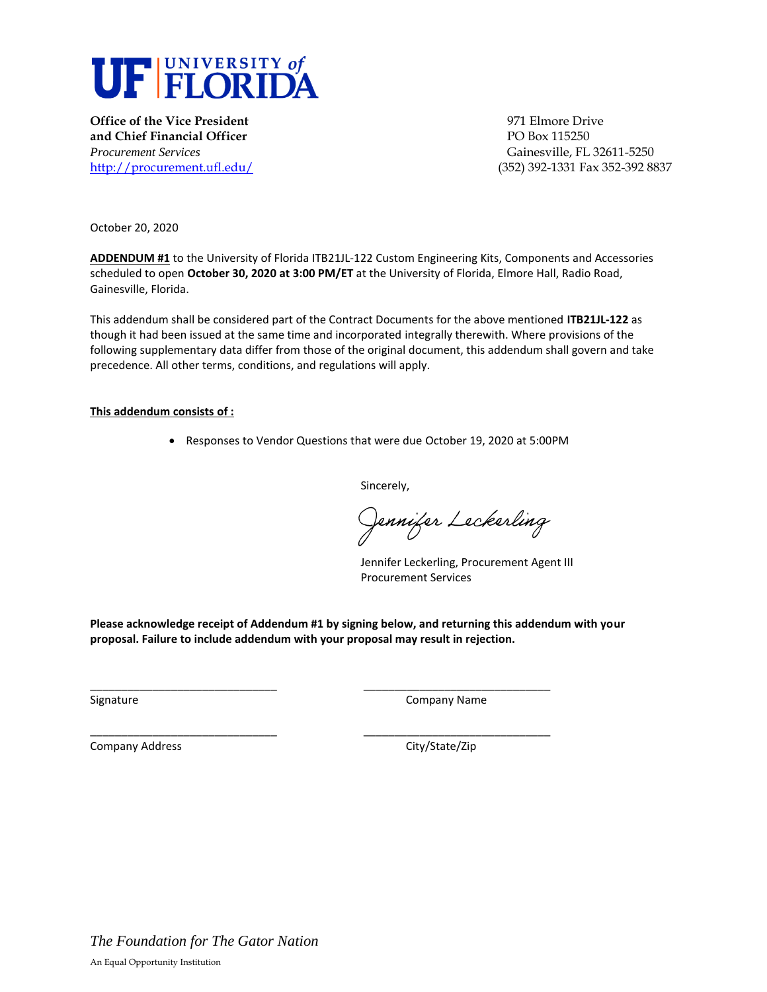

**Office of the Vice President 1971 Elmore Drive and Chief Financial Officer PO Box 115250** *Procurement Services* Gainesville, FL 32611-5250

<http://procurement.ufl.edu/>(352) 392-1331 Fax 352-392 8837

October 20, 2020

**ADDENDUM #1** to the University of Florida ITB21JL-122 Custom Engineering Kits, Components and Accessories scheduled to open **October 30, 2020 at 3:00 PM/ET** at the University of Florida, Elmore Hall, Radio Road, Gainesville, Florida.

This addendum shall be considered part of the Contract Documents for the above mentioned **ITB21JL-122** as though it had been issued at the same time and incorporated integrally therewith. Where provisions of the following supplementary data differ from those of the original document, this addendum shall govern and take precedence. All other terms, conditions, and regulations will apply.

## **This addendum consists of :**

• Responses to Vendor Questions that were due October 19, 2020 at 5:00PM

Sincerely,

Jennifer Leckerling

Jennifer Leckerling, Procurement Agent III Procurement Services

**Please acknowledge receipt of Addendum #1 by signing below, and returning this addendum with your proposal. Failure to include addendum with your proposal may result in rejection.** 

\_\_\_\_\_\_\_\_\_\_\_\_\_\_\_\_\_\_\_\_\_\_\_\_\_\_\_\_\_\_ \_\_\_\_\_\_\_\_\_\_\_\_\_\_\_\_\_\_\_\_\_\_\_\_\_\_\_\_\_\_

\_\_\_\_\_\_\_\_\_\_\_\_\_\_\_\_\_\_\_\_\_\_\_\_\_\_\_\_\_\_ \_\_\_\_\_\_\_\_\_\_\_\_\_\_\_\_\_\_\_\_\_\_\_\_\_\_\_\_\_\_

Signature Company Name

Company Address Company Address City/State/Zip